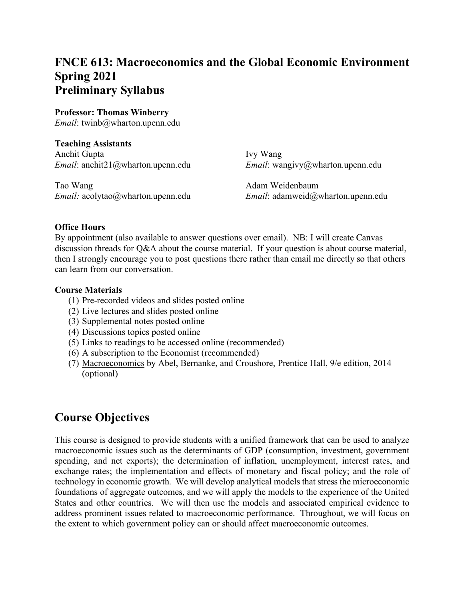# **FNCE 613: Macroeconomics and the Global Economic Environment Spring 2021 Preliminary Syllabus**

#### **Professor: Thomas Winberry**

*Email*: twinb@wharton.upenn.edu

**Teaching Assistants** Anchit Gupta Ivy Wang *Email*: anchit21@wharton.upenn.edu *Email*: wangivy@wharton.upenn.edu

Tao Wang **Adam Weidenbaum** Adam Weidenbaum

*Email:* acolytao@wharton.upenn.edu *Email*: adamweid@wharton.upenn.edu

#### **Office Hours**

By appointment (also available to answer questions over email). NB: I will create Canvas discussion threads for Q&A about the course material. If your question is about course material, then I strongly encourage you to post questions there rather than email me directly so that others can learn from our conversation.

#### **Course Materials**

- (1) Pre-recorded videos and slides posted online
- (2) Live lectures and slides posted online
- (3) Supplemental notes posted online
- (4) Discussions topics posted online
- (5) Links to readings to be accessed online (recommended)
- (6) A subscription to the Economist (recommended)
- (7) Macroeconomics by Abel, Bernanke, and Croushore, Prentice Hall, 9/e edition, 2014 (optional)

### **Course Objectives**

This course is designed to provide students with a unified framework that can be used to analyze macroeconomic issues such as the determinants of GDP (consumption, investment, government spending, and net exports); the determination of inflation, unemployment, interest rates, and exchange rates; the implementation and effects of monetary and fiscal policy; and the role of technology in economic growth. We will develop analytical models that stress the microeconomic foundations of aggregate outcomes, and we will apply the models to the experience of the United States and other countries. We will then use the models and associated empirical evidence to address prominent issues related to macroeconomic performance. Throughout, we will focus on the extent to which government policy can or should affect macroeconomic outcomes.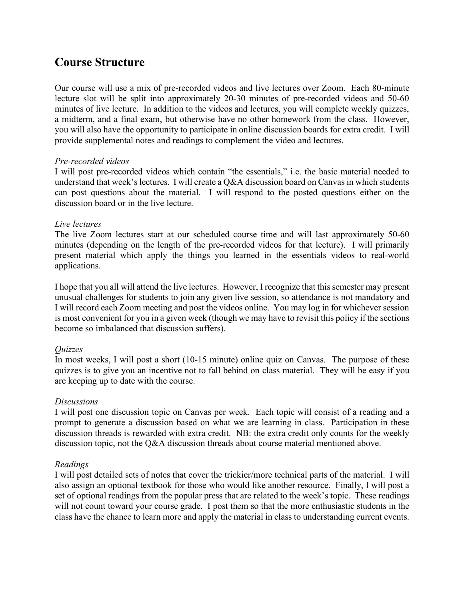# **Course Structure**

Our course will use a mix of pre-recorded videos and live lectures over Zoom. Each 80-minute lecture slot will be split into approximately 20-30 minutes of pre-recorded videos and 50-60 minutes of live lecture. In addition to the videos and lectures, you will complete weekly quizzes, a midterm, and a final exam, but otherwise have no other homework from the class. However, you will also have the opportunity to participate in online discussion boards for extra credit. I will provide supplemental notes and readings to complement the video and lectures.

#### *Pre-recorded videos*

I will post pre-recorded videos which contain "the essentials," i.e. the basic material needed to understand that week's lectures. I will create a Q&A discussion board on Canvas in which students can post questions about the material. I will respond to the posted questions either on the discussion board or in the live lecture.

#### *Live lectures*

The live Zoom lectures start at our scheduled course time and will last approximately 50-60 minutes (depending on the length of the pre-recorded videos for that lecture). I will primarily present material which apply the things you learned in the essentials videos to real-world applications.

I hope that you all will attend the live lectures. However, I recognize that this semester may present unusual challenges for students to join any given live session, so attendance is not mandatory and I will record each Zoom meeting and post the videos online. You may log in for whichever session is most convenient for you in a given week (though we may have to revisit this policy if the sections become so imbalanced that discussion suffers).

### *Quizzes*

In most weeks, I will post a short (10-15 minute) online quiz on Canvas. The purpose of these quizzes is to give you an incentive not to fall behind on class material. They will be easy if you are keeping up to date with the course.

### *Discussions*

I will post one discussion topic on Canvas per week. Each topic will consist of a reading and a prompt to generate a discussion based on what we are learning in class. Participation in these discussion threads is rewarded with extra credit. NB: the extra credit only counts for the weekly discussion topic, not the Q&A discussion threads about course material mentioned above.

### *Readings*

I will post detailed sets of notes that cover the trickier/more technical parts of the material. I will also assign an optional textbook for those who would like another resource. Finally, I will post a set of optional readings from the popular press that are related to the week's topic. These readings will not count toward your course grade. I post them so that the more enthusiastic students in the class have the chance to learn more and apply the material in class to understanding current events.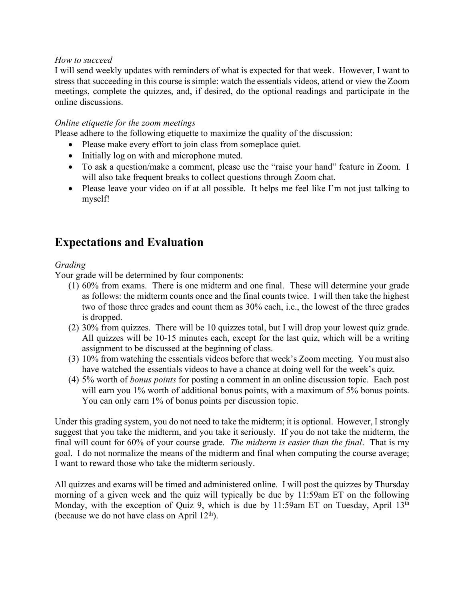#### *How to succeed*

I will send weekly updates with reminders of what is expected for that week. However, I want to stress that succeeding in this course is simple: watch the essentials videos, attend or view the Zoom meetings, complete the quizzes, and, if desired, do the optional readings and participate in the online discussions.

#### *Online etiquette for the zoom meetings*

Please adhere to the following etiquette to maximize the quality of the discussion:

- Please make every effort to join class from someplace quiet.
- Initially log on with and microphone muted.
- To ask a question/make a comment, please use the "raise your hand" feature in Zoom. I will also take frequent breaks to collect questions through Zoom chat.
- Please leave your video on if at all possible. It helps me feel like I'm not just talking to myself!

# **Expectations and Evaluation**

#### *Grading*

Your grade will be determined by four components:

- (1) 60% from exams. There is one midterm and one final. These will determine your grade as follows: the midterm counts once and the final counts twice. I will then take the highest two of those three grades and count them as 30% each, i.e., the lowest of the three grades is dropped.
- (2) 30% from quizzes. There will be 10 quizzes total, but I will drop your lowest quiz grade. All quizzes will be 10-15 minutes each, except for the last quiz, which will be a writing assignment to be discussed at the beginning of class.
- (3) 10% from watching the essentials videos before that week's Zoom meeting. You must also have watched the essentials videos to have a chance at doing well for the week's quiz.
- (4) 5% worth of *bonus points* for posting a comment in an online discussion topic. Each post will earn you 1% worth of additional bonus points, with a maximum of 5% bonus points. You can only earn 1% of bonus points per discussion topic.

Under this grading system, you do not need to take the midterm; it is optional. However, I strongly suggest that you take the midterm, and you take it seriously. If you do not take the midterm, the final will count for 60% of your course grade. *The midterm is easier than the final*. That is my goal. I do not normalize the means of the midterm and final when computing the course average; I want to reward those who take the midterm seriously.

All quizzes and exams will be timed and administered online. I will post the quizzes by Thursday morning of a given week and the quiz will typically be due by 11:59am ET on the following Monday, with the exception of Quiz 9, which is due by 11:59am ET on Tuesday, April  $13<sup>th</sup>$ (because we do not have class on April  $12<sup>th</sup>$ ).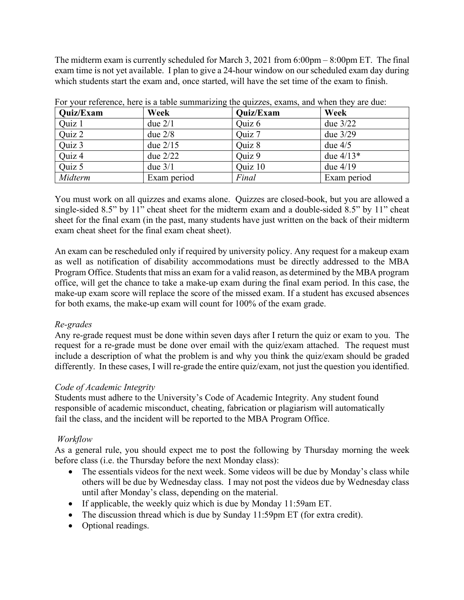The midterm exam is currently scheduled for March 3, 2021 from 6:00pm – 8:00pm ET. The final exam time is not yet available. I plan to give a 24-hour window on our scheduled exam day during which students start the exam and, once started, will have the set time of the exam to finish.

| <b>Quiz/Exam</b> | Week        | Quiz/Exam | Week        |
|------------------|-------------|-----------|-------------|
| Quiz 1           | due $2/1$   | Quiz 6    | due $3/22$  |
| Quiz 2           | due $2/8$   | Quiz 7    | due $3/29$  |
| Quiz 3           | due $2/15$  | Ouiz 8    | due $4/5$   |
| Quiz 4           | due $2/22$  | Quiz 9    | due $4/13*$ |
| Quiz 5           | due $3/1$   | Quiz 10   | due $4/19$  |
| Midterm          | Exam period | Final     | Exam period |

For your reference, here is a table summarizing the quizzes, exams, and when they are due:

You must work on all quizzes and exams alone. Quizzes are closed-book, but you are allowed a single-sided 8.5" by 11" cheat sheet for the midterm exam and a double-sided 8.5" by 11" cheat sheet for the final exam (in the past, many students have just written on the back of their midterm exam cheat sheet for the final exam cheat sheet).

An exam can be rescheduled only if required by university policy. Any request for a makeup exam as well as notification of disability accommodations must be directly addressed to the MBA Program Office. Students that miss an exam for a valid reason, as determined by the MBA program office, will get the chance to take a make-up exam during the final exam period. In this case, the make-up exam score will replace the score of the missed exam. If a student has excused absences for both exams, the make-up exam will count for 100% of the exam grade.

### *Re-grades*

Any re-grade request must be done within seven days after I return the quiz or exam to you. The request for a re-grade must be done over email with the quiz/exam attached. The request must include a description of what the problem is and why you think the quiz/exam should be graded differently. In these cases, I will re-grade the entire quiz/exam, not just the question you identified.

### *Code of Academic Integrity*

Students must adhere to the University's Code of Academic Integrity. Any student found responsible of academic misconduct, cheating, fabrication or plagiarism will automatically fail the class, and the incident will be reported to the MBA Program Office.

### *Workflow*

As a general rule, you should expect me to post the following by Thursday morning the week before class (i.e. the Thursday before the next Monday class):

- The essentials videos for the next week. Some videos will be due by Monday's class while others will be due by Wednesday class. I may not post the videos due by Wednesday class until after Monday's class, depending on the material.
- If applicable, the weekly quiz which is due by Monday 11:59am ET.
- The discussion thread which is due by Sunday 11:59pm ET (for extra credit).
- Optional readings.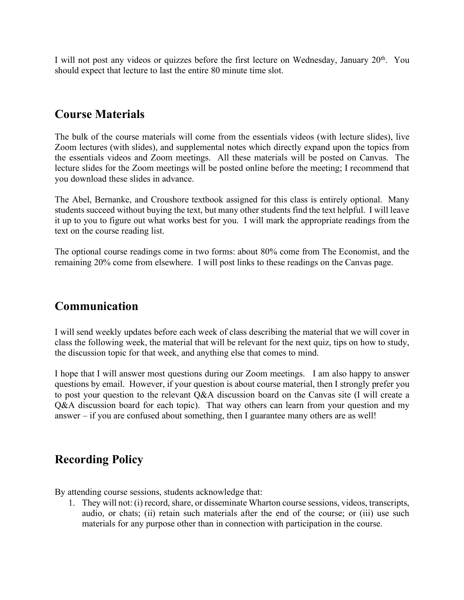I will not post any videos or quizzes before the first lecture on Wednesday, January  $20<sup>th</sup>$ . You should expect that lecture to last the entire 80 minute time slot.

## **Course Materials**

The bulk of the course materials will come from the essentials videos (with lecture slides), live Zoom lectures (with slides), and supplemental notes which directly expand upon the topics from the essentials videos and Zoom meetings. All these materials will be posted on Canvas. The lecture slides for the Zoom meetings will be posted online before the meeting; I recommend that you download these slides in advance.

The Abel, Bernanke, and Croushore textbook assigned for this class is entirely optional. Many students succeed without buying the text, but many other students find the text helpful. I will leave it up to you to figure out what works best for you. I will mark the appropriate readings from the text on the course reading list.

The optional course readings come in two forms: about 80% come from The Economist, and the remaining 20% come from elsewhere. I will post links to these readings on the Canvas page.

### **Communication**

I will send weekly updates before each week of class describing the material that we will cover in class the following week, the material that will be relevant for the next quiz, tips on how to study, the discussion topic for that week, and anything else that comes to mind.

I hope that I will answer most questions during our Zoom meetings. I am also happy to answer questions by email. However, if your question is about course material, then I strongly prefer you to post your question to the relevant Q&A discussion board on the Canvas site (I will create a Q&A discussion board for each topic). That way others can learn from your question and my answer – if you are confused about something, then I guarantee many others are as well!

# **Recording Policy**

By attending course sessions, students acknowledge that:

1. They will not: (i) record, share, or disseminate Wharton course sessions, videos, transcripts, audio, or chats; (ii) retain such materials after the end of the course; or (iii) use such materials for any purpose other than in connection with participation in the course.